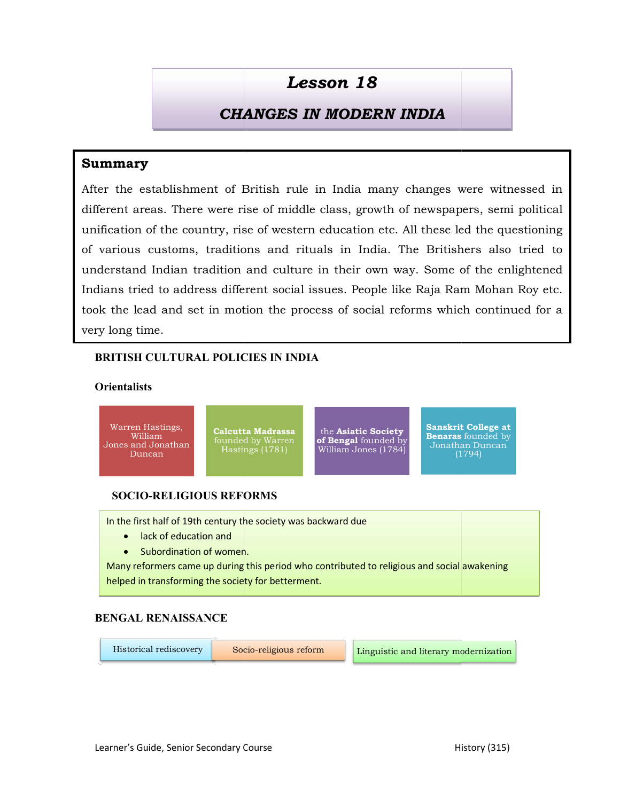# CHANGES IN MODERN INDIA CHANGES IN MODERN INDIA

# Summary

After the establishment of British rule in India many changes were witnessed in different areas. There were rise of middle class, growth of newspapers, semi political unification of the country, rise of western education etc. All these led the questioning of various customs, traditions and rituals in India. The Britishers also tried to understand Indian tradition and culture in their own way. Some of the enlightened Indians tried to address different social issues. People like Raja Ram Mohan Roy etc. took the lead and set in motion the process of social reforms which continued for a very long time. **CHANGES IN MODERN INDIA**<br> **CHANGES IN MODERN INDIA**<br> **INCREM INDIA**<br> **INCREM INDIA**<br> **INCREM INDIA**<br> **INCREM INDIA**<br> **INCREM INDIA**<br> **INCREM EXECUTE TO RAM HE LESSON CONSENSE AND TO REFERENCE AND<br>
THE RESPONSE SERVE TO RA** After the establishment of British rule in India many changes<br>different areas. There were rise of middle class, growth of newspa<br>unification of the country, rise of western education etc. All these<br>of various customs, trad

# BRITISH CULTURAL POLICIES IN INDIA BRITISH

## **Orientalists**



In the first half of 19th century the society was backward due

- lack of education and
- Subordination of women.

Many reformers came up during this period who contributed to religious and social awakening **contrary to the enti** helped in transforming the society for betterment.

# BENGAL RENAISSANCE

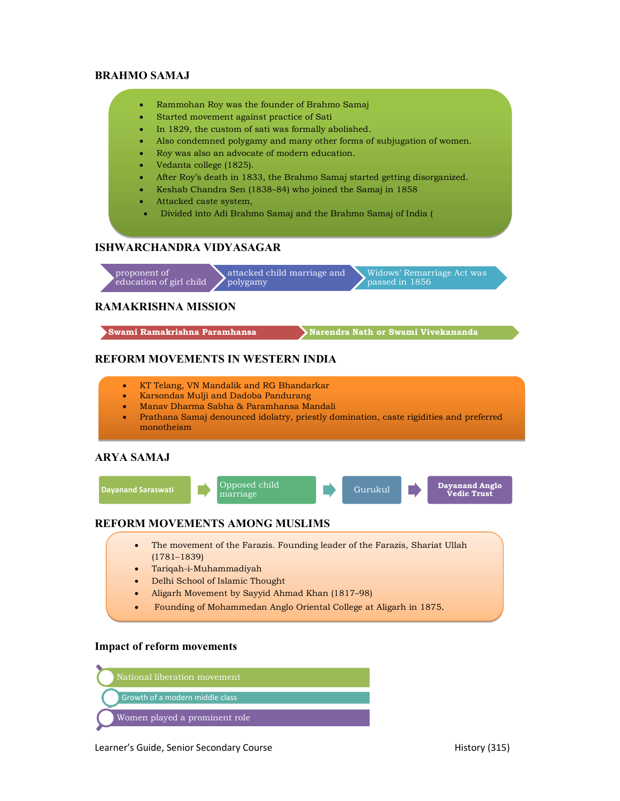#### BRAHMO SAMAJ

- Rammohan Roy was the founder of Brahmo Samaj
- Started movement against practice of Sati
- In 1829, the custom of sati was formally abolished.
- Also condemned polygamy and many other forms of subjugation of women.
- Roy was also an advocate of modern education.
- Vedanta college (1825).
- After Roy's death in 1833, the Brahmo Samaj started getting disorganized.
- Keshab Chandra Sen (1838–84) who joined the Samaj in 1858
- Attacked caste system,
- Divided into Adi Brahmo Samaj and the Brahmo Samaj of India (

#### ISHWARCHANDRA VIDYASAGAR

proponent of<br>education of girl child polygamy education of girl child attacked child marriage and polygamy and passed in 1856 Widows' Remarriage Act was passed in 1856 AMMO SAMAJ<br>
• Rammohan Roy was the founder of Brahmo Samaj<br>
• Started movement against practic of Sati<br>
• In 1829, the custom of sati was formally abolished.<br>
• Also conderned polygamy and many other forms of subjugation

#### RAMAKRISHNA MISSION

#### REFORM MOVEMENTS IN WESTERN INDIA

- KT Telang, VN Mandalik and RG Bhandarkar
- Karsondas Mulji and Dadoba Pandurang
- Manav Dharma Sabha & Paramhansa Mandali
- Prathana Samaj denounced idolatry, priestly domination, caste rigidities and preferred monotheism

#### ARYA SAMAJ



### REFORM MOVEMENTS AMONG MUSLIMS

- The movement of the Farazis. Founding leader of the Farazis, Shariat Ullah (1781–1839)
- Tariqah-i-Muhammadiyah
- Delhi School of Islamic Thought
- Aligarh Movement by Sayyid Ahmad Khan (1817–98)
- Founding of Mohammedan Anglo Oriental College at Aligarh in 1875.

#### Impact of reform movements